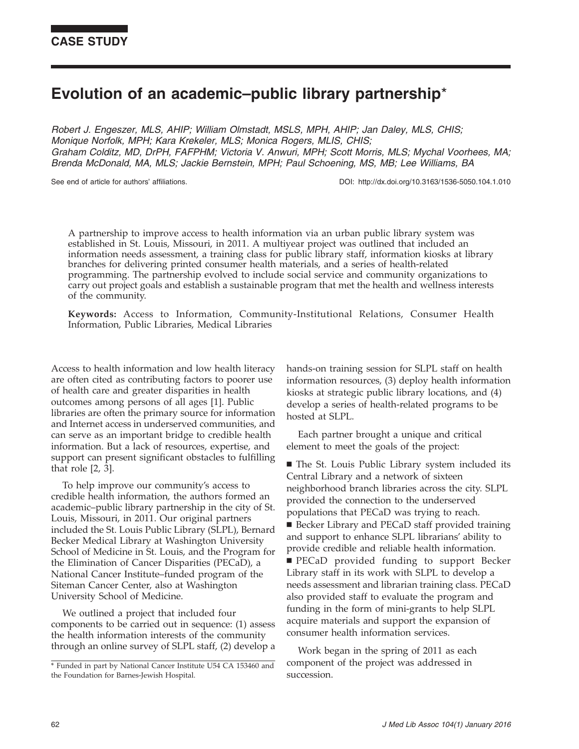# Evolution of an academic–public library partnership\*

Robert J. Engeszer, MLS, AHIP; William Olmstadt, MSLS, MPH, AHIP; Jan Daley, MLS, CHIS; Monique Norfolk, MPH; Kara Krekeler, MLS; Monica Rogers, MLIS, CHIS; Graham Colditz, MD, DrPH, FAFPHM; Victoria V. Anwuri, MPH; Scott Morris, MLS; Mychal Voorhees, MA; Brenda McDonald, MA, MLS; Jackie Bernstein, MPH; Paul Schoening, MS, MB; Lee Williams, BA

See end of article for authors' affiliations. DOI: http://dx.doi.org/10.3163/1536-5050.104.1.010

A partnership to improve access to health information via an urban public library system was established in St. Louis, Missouri, in 2011. A multiyear project was outlined that included an information needs assessment, a training class for public library staff, information kiosks at library branches for delivering printed consumer health materials, and a series of health-related programming. The partnership evolved to include social service and community organizations to carry out project goals and establish a sustainable program that met the health and wellness interests of the community.

Keywords: Access to Information, Community-Institutional Relations, Consumer Health Information, Public Libraries, Medical Libraries

Access to health information and low health literacy are often cited as contributing factors to poorer use of health care and greater disparities in health outcomes among persons of all ages [1]. Public libraries are often the primary source for information and Internet access in underserved communities, and can serve as an important bridge to credible health information. But a lack of resources, expertise, and support can present significant obstacles to fulfilling that role [2, 3].

To help improve our community's access to credible health information, the authors formed an academic–public library partnership in the city of St. Louis, Missouri, in 2011. Our original partners included the St. Louis Public Library (SLPL), Bernard Becker Medical Library at Washington University School of Medicine in St. Louis, and the Program for the Elimination of Cancer Disparities (PECaD), a National Cancer Institute–funded program of the Siteman Cancer Center, also at Washington University School of Medicine.

We outlined a project that included four components to be carried out in sequence: (1) assess the health information interests of the community through an online survey of SLPL staff, (2) develop a hands-on training session for SLPL staff on health information resources, (3) deploy health information kiosks at strategic public library locations, and (4) develop a series of health-related programs to be hosted at SLPL.

Each partner brought a unique and critical element to meet the goals of the project:

■ The St. Louis Public Library system included its Central Library and a network of sixteen neighborhood branch libraries across the city. SLPL provided the connection to the underserved populations that PECaD was trying to reach. ■ Becker Library and PECaD staff provided training and support to enhance SLPL librarians' ability to provide credible and reliable health information. **PECaD** provided funding to support Becker Library staff in its work with SLPL to develop a needs assessment and librarian training class. PECaD also provided staff to evaluate the program and funding in the form of mini-grants to help SLPL acquire materials and support the expansion of consumer health information services.

Work began in the spring of 2011 as each component of the project was addressed in succession.

<sup>\*</sup> Funded in part by National Cancer Institute U54 CA 153460 and the Foundation for Barnes-Jewish Hospital.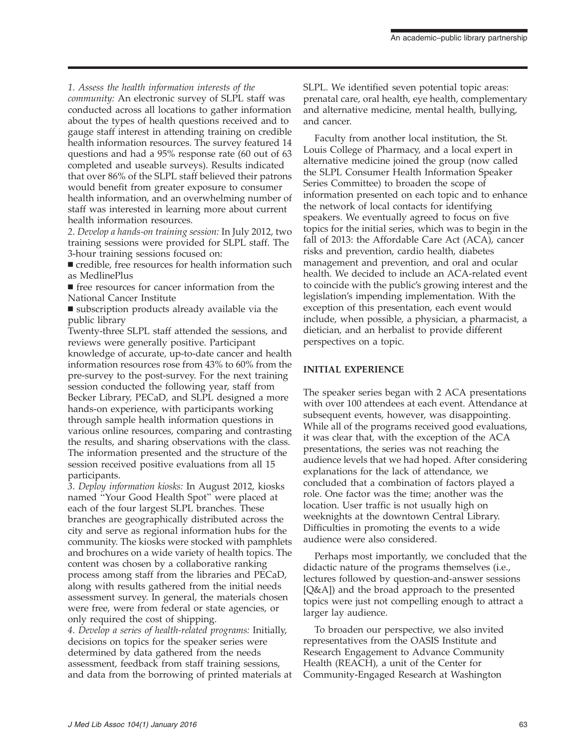1. Assess the health information interests of the

community: An electronic survey of SLPL staff was conducted across all locations to gather information about the types of health questions received and to gauge staff interest in attending training on credible health information resources. The survey featured 14 questions and had a 95% response rate (60 out of 63 completed and useable surveys). Results indicated that over 86% of the SLPL staff believed their patrons would benefit from greater exposure to consumer health information, and an overwhelming number of staff was interested in learning more about current health information resources.

2. Develop a hands-on training session: In July 2012, two training sessions were provided for SLPL staff. The 3-hour training sessions focused on:

 $\blacksquare$  credible, free resources for health information such as MedlinePlus

 $\blacksquare$  free resources for cancer information from the National Cancer Institute

 $\blacksquare$  subscription products already available via the public library

Twenty-three SLPL staff attended the sessions, and reviews were generally positive. Participant knowledge of accurate, up-to-date cancer and health information resources rose from 43% to 60% from the pre-survey to the post-survey. For the next training session conducted the following year, staff from Becker Library, PECaD, and SLPL designed a more hands-on experience, with participants working through sample health information questions in various online resources, comparing and contrasting the results, and sharing observations with the class. The information presented and the structure of the session received positive evaluations from all 15 participants.

3. Deploy information kiosks: In August 2012, kiosks named ''Your Good Health Spot'' were placed at each of the four largest SLPL branches. These branches are geographically distributed across the city and serve as regional information hubs for the community. The kiosks were stocked with pamphlets and brochures on a wide variety of health topics. The content was chosen by a collaborative ranking process among staff from the libraries and PECaD, along with results gathered from the initial needs assessment survey. In general, the materials chosen were free, were from federal or state agencies, or only required the cost of shipping.

4. Develop a series of health-related programs: Initially, decisions on topics for the speaker series were determined by data gathered from the needs assessment, feedback from staff training sessions, and data from the borrowing of printed materials at SLPL. We identified seven potential topic areas: prenatal care, oral health, eye health, complementary and alternative medicine, mental health, bullying, and cancer.

Faculty from another local institution, the St. Louis College of Pharmacy, and a local expert in alternative medicine joined the group (now called the SLPL Consumer Health Information Speaker Series Committee) to broaden the scope of information presented on each topic and to enhance the network of local contacts for identifying speakers. We eventually agreed to focus on five topics for the initial series, which was to begin in the fall of 2013: the Affordable Care Act (ACA), cancer risks and prevention, cardio health, diabetes management and prevention, and oral and ocular health. We decided to include an ACA-related event to coincide with the public's growing interest and the legislation's impending implementation. With the exception of this presentation, each event would include, when possible, a physician, a pharmacist, a dietician, and an herbalist to provide different perspectives on a topic.

#### INITIAL EXPERIENCE

The speaker series began with 2 ACA presentations with over 100 attendees at each event. Attendance at subsequent events, however, was disappointing. While all of the programs received good evaluations, it was clear that, with the exception of the ACA presentations, the series was not reaching the audience levels that we had hoped. After considering explanations for the lack of attendance, we concluded that a combination of factors played a role. One factor was the time; another was the location. User traffic is not usually high on weeknights at the downtown Central Library. Difficulties in promoting the events to a wide audience were also considered.

Perhaps most importantly, we concluded that the didactic nature of the programs themselves (i.e., lectures followed by question-and-answer sessions [Q&A]) and the broad approach to the presented topics were just not compelling enough to attract a larger lay audience.

To broaden our perspective, we also invited representatives from the OASIS Institute and Research Engagement to Advance Community Health (REACH), a unit of the Center for Community-Engaged Research at Washington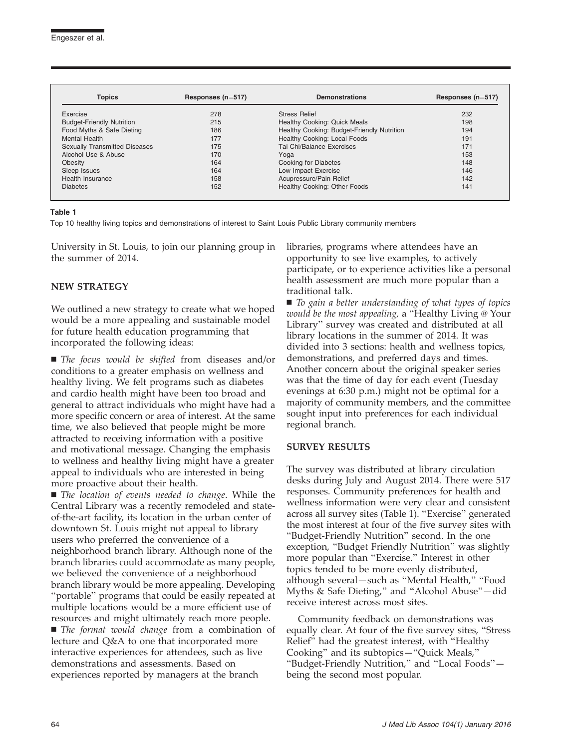| <b>Topics</b>                        | Responses ( $n=517$ ) | <b>Demonstrations</b>                      | Responses ( $n=517$ ) |
|--------------------------------------|-----------------------|--------------------------------------------|-----------------------|
| Exercise                             | 278                   | <b>Stress Relief</b>                       | 232                   |
| <b>Budget-Friendly Nutrition</b>     | 215                   | <b>Healthy Cooking: Quick Meals</b>        | 198                   |
| Food Myths & Safe Dieting            | 186                   | Healthy Cooking: Budget-Friendly Nutrition | 194                   |
| <b>Mental Health</b>                 | 177                   | Healthy Cooking: Local Foods               | 191                   |
| <b>Sexually Transmitted Diseases</b> | 175                   | Tai Chi/Balance Exercises                  | 171                   |
| Alcohol Use & Abuse                  | 170                   | Yoga                                       | 153                   |
| <b>Obesity</b>                       | 164                   | Cooking for Diabetes                       | 148                   |
| Sleep Issues                         | 164                   | Low Impact Exercise                        | 146                   |
| Health Insurance                     | 158                   | Acupressure/Pain Relief                    | 142                   |
| <b>Diabetes</b>                      | 152                   | Healthy Cooking: Other Foods               | 141                   |

#### Table 1

Top 10 healthy living topics and demonstrations of interest to Saint Louis Public Library community members

University in St. Louis, to join our planning group in the summer of 2014.

#### NEW STRATEGY

We outlined a new strategy to create what we hoped would be a more appealing and sustainable model for future health education programming that incorporated the following ideas:

 $\blacksquare$  The focus would be shifted from diseases and/or conditions to a greater emphasis on wellness and healthy living. We felt programs such as diabetes and cardio health might have been too broad and general to attract individuals who might have had a more specific concern or area of interest. At the same time, we also believed that people might be more attracted to receiving information with a positive and motivational message. Changing the emphasis to wellness and healthy living might have a greater appeal to individuals who are interested in being more proactive about their health.

 $\blacksquare$  The location of events needed to change. While the Central Library was a recently remodeled and stateof-the-art facility, its location in the urban center of downtown St. Louis might not appeal to library users who preferred the convenience of a neighborhood branch library. Although none of the branch libraries could accommodate as many people, we believed the convenience of a neighborhood branch library would be more appealing. Developing ''portable'' programs that could be easily repeated at multiple locations would be a more efficient use of resources and might ultimately reach more people.

 $\blacksquare$  The format would change from a combination of lecture and Q&A to one that incorporated more interactive experiences for attendees, such as live demonstrations and assessments. Based on experiences reported by managers at the branch

libraries, programs where attendees have an opportunity to see live examples, to actively participate, or to experience activities like a personal health assessment are much more popular than a traditional talk.

 $\blacksquare$  To gain a better understanding of what types of topics would be the most appealing, a "Healthy Living @ Your Library'' survey was created and distributed at all library locations in the summer of 2014. It was divided into 3 sections: health and wellness topics, demonstrations, and preferred days and times. Another concern about the original speaker series was that the time of day for each event (Tuesday evenings at 6:30 p.m.) might not be optimal for a majority of community members, and the committee sought input into preferences for each individual regional branch.

#### SURVEY RESULTS

The survey was distributed at library circulation desks during July and August 2014. There were 517 responses. Community preferences for health and wellness information were very clear and consistent across all survey sites (Table 1). ''Exercise'' generated the most interest at four of the five survey sites with ''Budget-Friendly Nutrition'' second. In the one exception, ''Budget Friendly Nutrition'' was slightly more popular than ''Exercise.'' Interest in other topics tended to be more evenly distributed, although several—such as ''Mental Health,'' ''Food Myths & Safe Dieting,'' and ''Alcohol Abuse''—did receive interest across most sites.

Community feedback on demonstrations was equally clear. At four of the five survey sites, ''Stress Relief'' had the greatest interest, with ''Healthy Cooking'' and its subtopics—''Quick Meals,'' ''Budget-Friendly Nutrition,'' and ''Local Foods'' being the second most popular.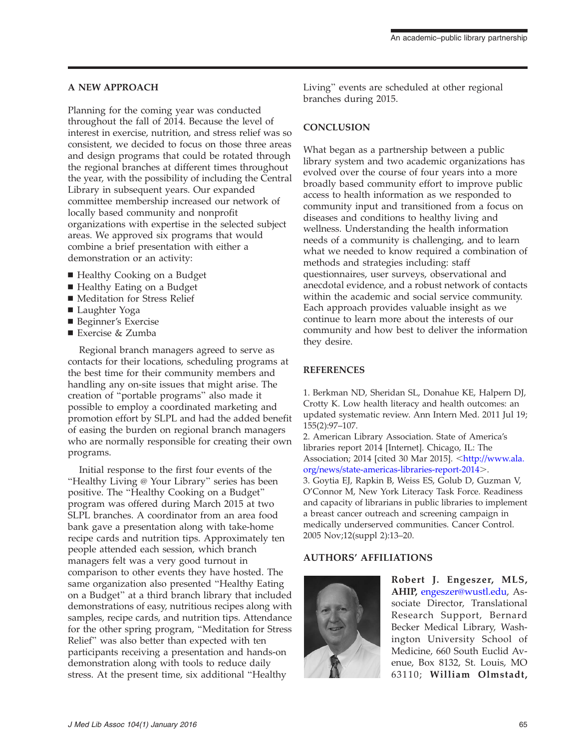#### A NEW APPROACH

Planning for the coming year was conducted throughout the fall of 2014. Because the level of interest in exercise, nutrition, and stress relief was so consistent, we decided to focus on those three areas and design programs that could be rotated through the regional branches at different times throughout the year, with the possibility of including the Central Library in subsequent years. Our expanded committee membership increased our network of locally based community and nonprofit organizations with expertise in the selected subject areas. We approved six programs that would combine a brief presentation with either a demonstration or an activity:

- Healthy Cooking on a Budget
- Healthy Eating on a Budget
- Meditation for Stress Relief
- Laughter Yoga
- Beginner's Exercise
- Exercise & Zumba

Regional branch managers agreed to serve as contacts for their locations, scheduling programs at the best time for their community members and handling any on-site issues that might arise. The creation of ''portable programs'' also made it possible to employ a coordinated marketing and promotion effort by SLPL and had the added benefit of easing the burden on regional branch managers who are normally responsible for creating their own programs.

Initial response to the first four events of the "Healthy Living @ Your Library" series has been positive. The ''Healthy Cooking on a Budget'' program was offered during March 2015 at two SLPL branches. A coordinator from an area food bank gave a presentation along with take-home recipe cards and nutrition tips. Approximately ten people attended each session, which branch managers felt was a very good turnout in comparison to other events they have hosted. The same organization also presented ''Healthy Eating on a Budget'' at a third branch library that included demonstrations of easy, nutritious recipes along with samples, recipe cards, and nutrition tips. Attendance for the other spring program, ''Meditation for Stress Relief'' was also better than expected with ten participants receiving a presentation and hands-on demonstration along with tools to reduce daily stress. At the present time, six additional ''Healthy

Living'' events are scheduled at other regional branches during 2015.

### **CONCLUSION**

What began as a partnership between a public library system and two academic organizations has evolved over the course of four years into a more broadly based community effort to improve public access to health information as we responded to community input and transitioned from a focus on diseases and conditions to healthy living and wellness. Understanding the health information needs of a community is challenging, and to learn what we needed to know required a combination of methods and strategies including: staff questionnaires, user surveys, observational and anecdotal evidence, and a robust network of contacts within the academic and social service community. Each approach provides valuable insight as we continue to learn more about the interests of our community and how best to deliver the information they desire.

## **REFERENCES**

1. Berkman ND, Sheridan SL, Donahue KE, Halpern DJ, Crotty K. Low health literacy and health outcomes: an updated systematic review. Ann Intern Med. 2011 Jul 19; 155(2):97–107.

2. American Library Association. State of America's libraries report 2014 [Internet]. Chicago, IL: The Association; 2014 [cited 30 Mar 2015]. <[http://www.ala.](http://www.ala.org/news/state-americas-libraries-report-2014) [org/news/state-americas-libraries-report-2014](http://www.ala.org/news/state-americas-libraries-report-2014)>. 3. Goytia EJ, Rapkin B, Weiss ES, Golub D, Guzman V,

O'Connor M, New York Literacy Task Force. Readiness and capacity of librarians in public libraries to implement a breast cancer outreach and screening campaign in medically underserved communities. Cancer Control. 2005 Nov;12(suppl 2):13–20.

### AUTHORS' AFFILIATIONS



Robert J. Engeszer, MLS, AHIP, [engeszer@wustl.edu](mailto:engeszer@wustl.edu), Associate Director, Translational Research Support, Bernard Becker Medical Library, Washington University School of Medicine, 660 South Euclid Avenue, Box 8132, St. Louis, MO 63110; William Olmstadt,